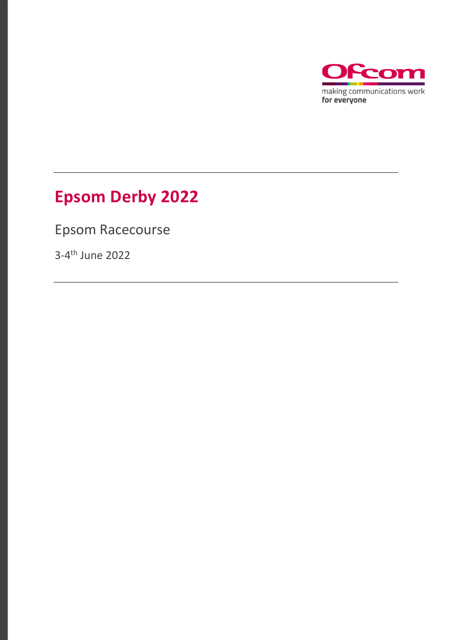

# **Epsom Derby 2022**

Epsom Racecourse

3-4 th June 2022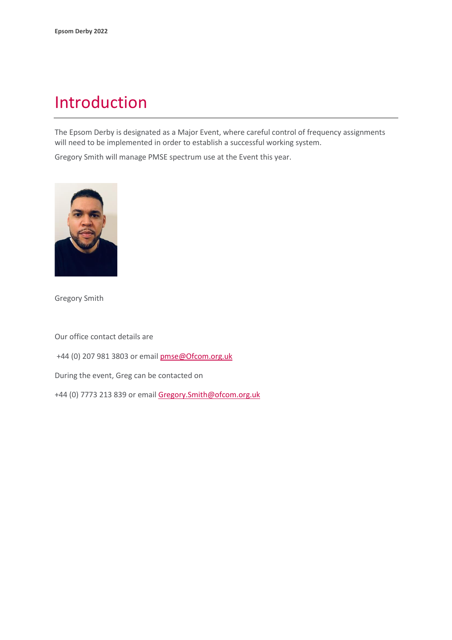### Introduction

The Epsom Derby is designated as a Major Event, where careful control of frequency assignments will need to be implemented in order to establish a successful working system.

Gregory Smith will manage PMSE spectrum use at the Event this year.



Gregory Smith

Our office contact details are

+44 (0) 207 981 3803 or emai[l pmse@Ofcom.org.uk](mailto:pmse@arqiva.com)

During the event, Greg can be contacted on

+44 (0) 7773 213 839 or email Gregory.Smith@ofcom.org.uk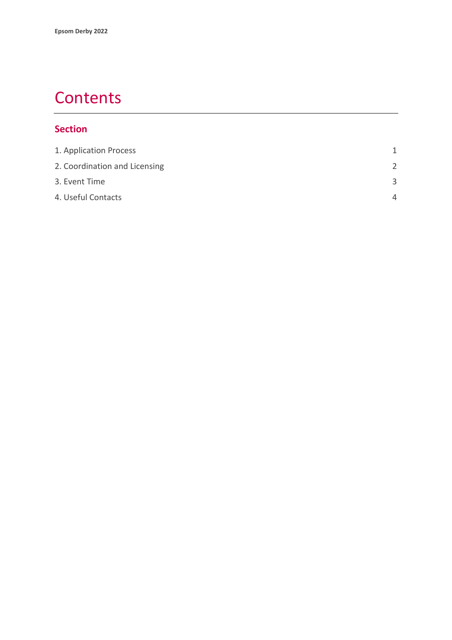### **Contents**

#### **Section**

| 1. Application Process        | 1             |
|-------------------------------|---------------|
| 2. Coordination and Licensing | $\mathcal{P}$ |
| 3. Event Time                 | $\mathbf{R}$  |
| 4. Useful Contacts            | Δ             |
|                               |               |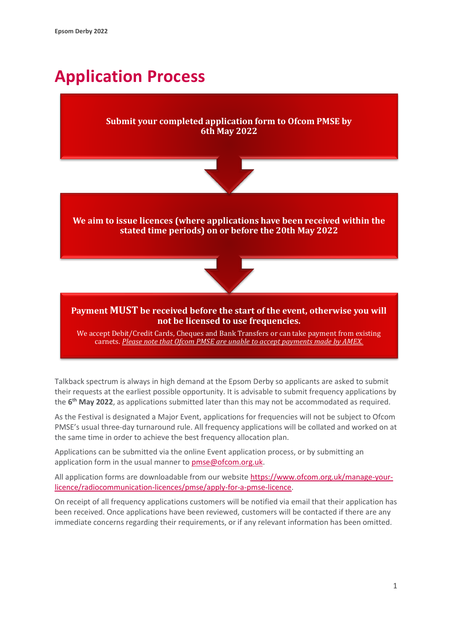## <span id="page-3-0"></span>**Application Process**

#### **Submit your completed application form to Ofcom PMSE by 6th May 2022**



**We aim to issue licences (where applications have been received within the stated time periods) on or before the 20th May 2022**



#### **Payment MUST be received before the start of the event, otherwise you will not be licensed to use frequencies.**

We accept Debit/Credit Cards, Cheques and Bank Transfers or can take payment from existing carnets. *Please note that Ofcom PMSE are unable to accept payments made by AMEX.*

Talkback spectrum is always in high demand at the Epsom Derby so applicants are asked to submit their requests at the earliest possible opportunity. It is advisable to submit frequency applications by the **6 th May 2022**, as applications submitted later than this may not be accommodated as required.

As the Festival is designated a Major Event, applications for frequencies will not be subject to Ofcom PMSE's usual three-day turnaround rule. All frequency applications will be collated and worked on at the same time in order to achieve the best frequency allocation plan.

Applications can be submitted via the online Event application process, or by submitting an application form in the usual manner to [pmse@ofcom.org.uk.](mailto:pmse@ofcom.org.uk)

All application forms are downloadable from our websit[e https://www.ofcom.org.uk/manage-your](https://www.ofcom.org.uk/manage-your-licence/radiocommunication-licences/pmse/apply-for-a-pmse-licence)[licence/radiocommunication-licences/pmse/apply-for-a-pmse-licence.](https://www.ofcom.org.uk/manage-your-licence/radiocommunication-licences/pmse/apply-for-a-pmse-licence)

On receipt of all frequency applications customers will be notified via email that their application has been received. Once applications have been reviewed, customers will be contacted if there are any immediate concerns regarding their requirements, or if any relevant information has been omitted.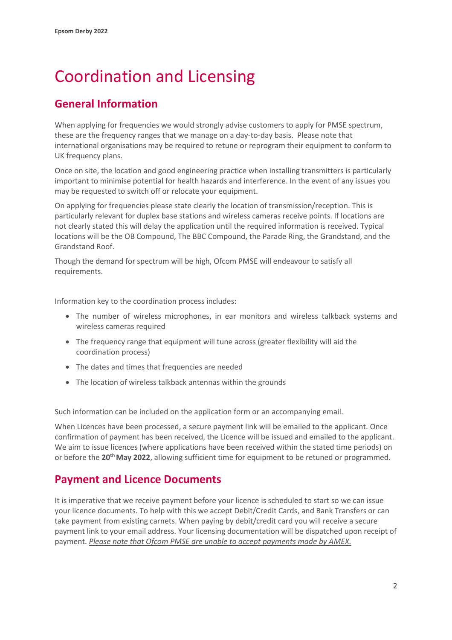# <span id="page-4-0"></span>Coordination and Licensing

### **General Information**

When applying for frequencies we would strongly advise customers to apply for PMSE spectrum, these are the frequency ranges that we manage on a day-to-day basis. Please note that international organisations may be required to retune or reprogram their equipment to conform to UK frequency plans.

Once on site, the location and good engineering practice when installing transmitters is particularly important to minimise potential for health hazards and interference. In the event of any issues you may be requested to switch off or relocate your equipment.

On applying for frequencies please state clearly the location of transmission/reception. This is particularly relevant for duplex base stations and wireless cameras receive points. If locations are not clearly stated this will delay the application until the required information is received. Typical locations will be the OB Compound, The BBC Compound, the Parade Ring, the Grandstand, and the Grandstand Roof.

Though the demand for spectrum will be high, Ofcom PMSE will endeavour to satisfy all requirements.

Information key to the coordination process includes:

- The number of wireless microphones, in ear monitors and wireless talkback systems and wireless cameras required
- The frequency range that equipment will tune across (greater flexibility will aid the coordination process)
- The dates and times that frequencies are needed
- The location of wireless talkback antennas within the grounds

Such information can be included on the application form or an accompanying email.

When Licences have been processed, a secure payment link will be emailed to the applicant. Once confirmation of payment has been received, the Licence will be issued and emailed to the applicant. We aim to issue licences (where applications have been received within the stated time periods) on or before the 20<sup>th</sup> May 2022, allowing sufficient time for equipment to be retuned or programmed.

#### **Payment and Licence Documents**

It is imperative that we receive payment before your licence is scheduled to start so we can issue your licence documents. To help with this we accept Debit/Credit Cards, and Bank Transfers or can take payment from existing carnets. When paying by debit/credit card you will receive a secure payment link to your email address. Your licensing documentation will be dispatched upon receipt of payment. *Please note that Ofcom PMSE are unable to accept payments made by AMEX.*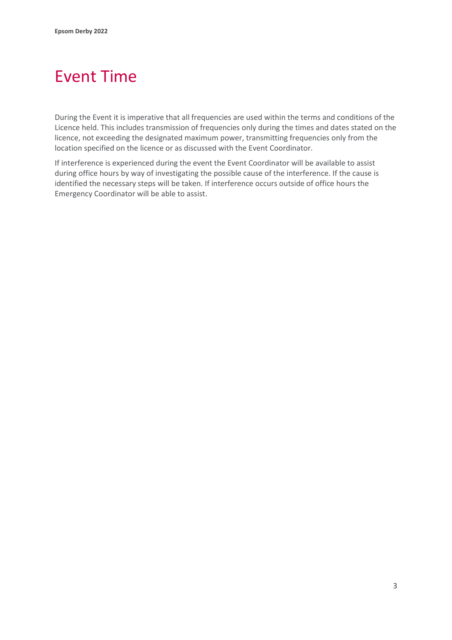## <span id="page-5-0"></span>Event Time

During the Event it is imperative that all frequencies are used within the terms and conditions of the Licence held. This includes transmission of frequencies only during the times and dates stated on the licence, not exceeding the designated maximum power, transmitting frequencies only from the location specified on the licence or as discussed with the Event Coordinator.

If interference is experienced during the event the Event Coordinator will be available to assist during office hours by way of investigating the possible cause of the interference. If the cause is identified the necessary steps will be taken. If interference occurs outside of office hours the Emergency Coordinator will be able to assist.